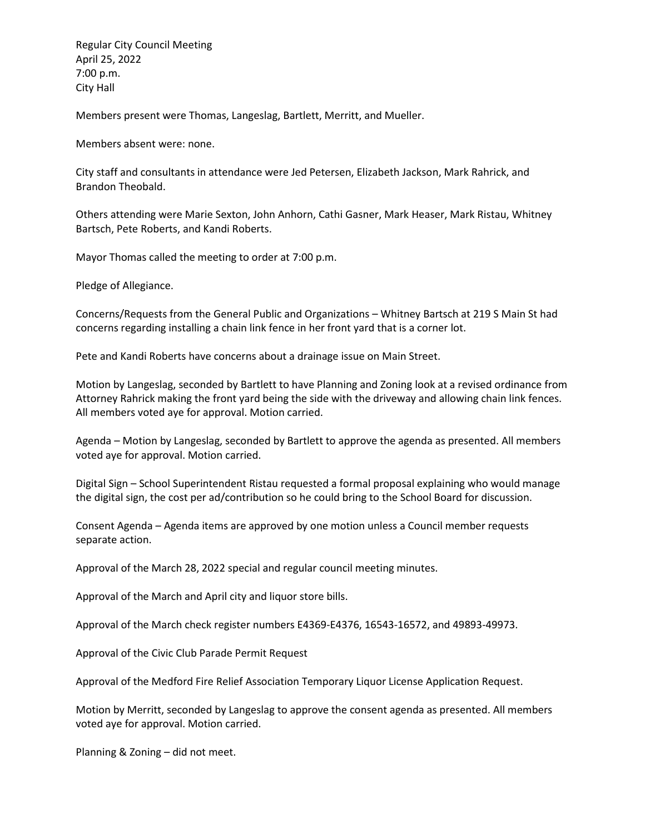Regular City Council Meeting April 25, 2022 7:00 p.m. City Hall

Members present were Thomas, Langeslag, Bartlett, Merritt, and Mueller.

Members absent were: none.

City staff and consultants in attendance were Jed Petersen, Elizabeth Jackson, Mark Rahrick, and Brandon Theobald.

Others attending were Marie Sexton, John Anhorn, Cathi Gasner, Mark Heaser, Mark Ristau, Whitney Bartsch, Pete Roberts, and Kandi Roberts.

Mayor Thomas called the meeting to order at 7:00 p.m.

Pledge of Allegiance.

Concerns/Requests from the General Public and Organizations – Whitney Bartsch at 219 S Main St had concerns regarding installing a chain link fence in her front yard that is a corner lot.

Pete and Kandi Roberts have concerns about a drainage issue on Main Street.

Motion by Langeslag, seconded by Bartlett to have Planning and Zoning look at a revised ordinance from Attorney Rahrick making the front yard being the side with the driveway and allowing chain link fences. All members voted aye for approval. Motion carried.

Agenda – Motion by Langeslag, seconded by Bartlett to approve the agenda as presented. All members voted aye for approval. Motion carried.

Digital Sign – School Superintendent Ristau requested a formal proposal explaining who would manage the digital sign, the cost per ad/contribution so he could bring to the School Board for discussion.

Consent Agenda – Agenda items are approved by one motion unless a Council member requests separate action.

Approval of the March 28, 2022 special and regular council meeting minutes.

Approval of the March and April city and liquor store bills.

Approval of the March check register numbers E4369-E4376, 16543-16572, and 49893-49973.

Approval of the Civic Club Parade Permit Request

Approval of the Medford Fire Relief Association Temporary Liquor License Application Request.

Motion by Merritt, seconded by Langeslag to approve the consent agenda as presented. All members voted aye for approval. Motion carried.

Planning & Zoning – did not meet.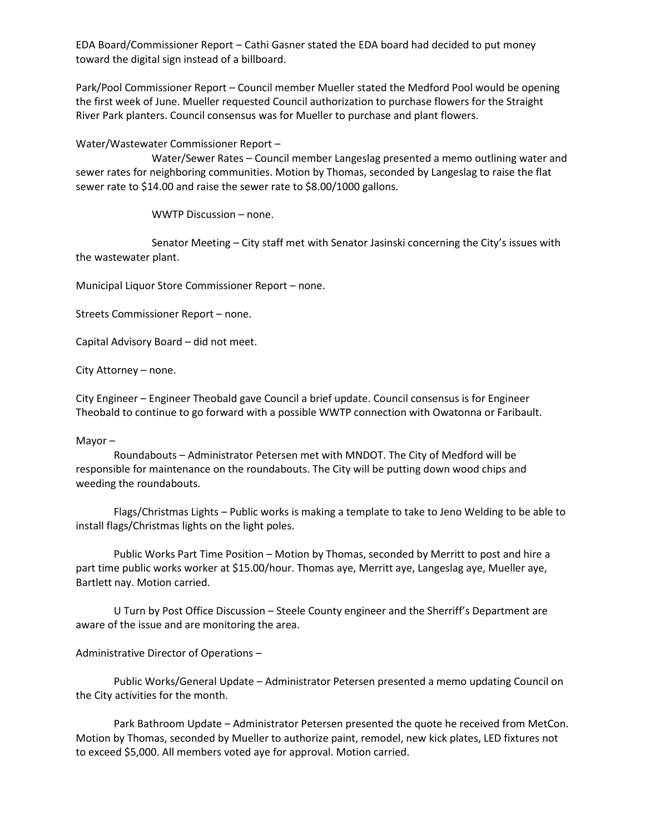EDA Board/Commissioner Report – Cathi Gasner stated the EDA board had decided to put money toward the digital sign instead of a billboard.

Park/Pool Commissioner Report – Council member Mueller stated the Medford Pool would be opening the first week of June. Mueller requested Council authorization to purchase flowers for the Straight River Park planters. Council consensus was for Mueller to purchase and plant flowers.

Water/Wastewater Commissioner Report –

Water/Sewer Rates – Council member Langeslag presented a memo outlining water and sewer rates for neighboring communities. Motion by Thomas, seconded by Langeslag to raise the flat sewer rate to \$14.00 and raise the sewer rate to \$8.00/1000 gallons.

WWTP Discussion – none.

Senator Meeting – City staff met with Senator Jasinski concerning the City's issues with the wastewater plant.

Municipal Liquor Store Commissioner Report – none.

Streets Commissioner Report – none.

Capital Advisory Board – did not meet.

City Attorney – none.

City Engineer – Engineer Theobald gave Council a brief update. Council consensus is for Engineer Theobald to continue to go forward with a possible WWTP connection with Owatonna or Faribault.

## Mayor –

Roundabouts – Administrator Petersen met with MNDOT. The City of Medford will be responsible for maintenance on the roundabouts. The City will be putting down wood chips and weeding the roundabouts.

Flags/Christmas Lights – Public works is making a template to take to Jeno Welding to be able to install flags/Christmas lights on the light poles.

Public Works Part Time Position – Motion by Thomas, seconded by Merritt to post and hire a part time public works worker at \$15.00/hour. Thomas aye, Merritt aye, Langeslag aye, Mueller aye, Bartlett nay. Motion carried.

U Turn by Post Office Discussion – Steele County engineer and the Sherriff's Department are aware of the issue and are monitoring the area.

## Administrative Director of Operations –

Public Works/General Update – Administrator Petersen presented a memo updating Council on the City activities for the month.

Park Bathroom Update – Administrator Petersen presented the quote he received from MetCon. Motion by Thomas, seconded by Mueller to authorize paint, remodel, new kick plates, LED fixtures not to exceed \$5,000. All members voted aye for approval. Motion carried.